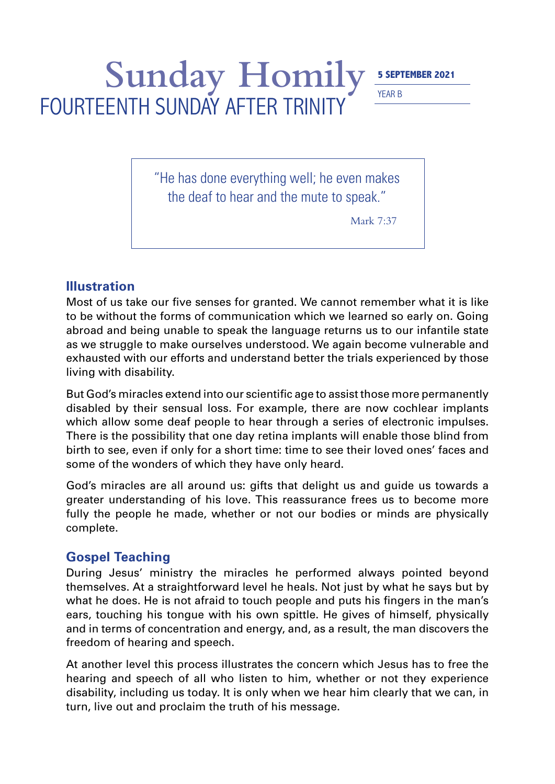## Sunday Homily **5 SEPTEMBER 2021** FOURTEENTH SUNDAY AFTER TRINITY

YEAR B

"He has done everything well; he even makes the deaf to hear and the mute to speak."

Mark 7:37

## **Illustration**

Most of us take our five senses for granted. We cannot remember what it is like to be without the forms of communication which we learned so early on. Going abroad and being unable to speak the language returns us to our infantile state as we struggle to make ourselves understood. We again become vulnerable and exhausted with our efforts and understand better the trials experienced by those living with disability.

But God's miracles extend into our scientific age to assist those more permanently disabled by their sensual loss. For example, there are now cochlear implants which allow some deaf people to hear through a series of electronic impulses. There is the possibility that one day retina implants will enable those blind from birth to see, even if only for a short time: time to see their loved ones' faces and some of the wonders of which they have only heard.

God's miracles are all around us: gifts that delight us and guide us towards a greater understanding of his love. This reassurance frees us to become more fully the people he made, whether or not our bodies or minds are physically complete.

## **Gospel Teaching**

During Jesus' ministry the miracles he performed always pointed beyond themselves. At a straightforward level he heals. Not just by what he says but by what he does. He is not afraid to touch people and puts his fingers in the man's ears, touching his tongue with his own spittle. He gives of himself, physically and in terms of concentration and energy, and, as a result, the man discovers the freedom of hearing and speech.

At another level this process illustrates the concern which Jesus has to free the hearing and speech of all who listen to him, whether or not they experience disability, including us today. It is only when we hear him clearly that we can, in turn, live out and proclaim the truth of his message.